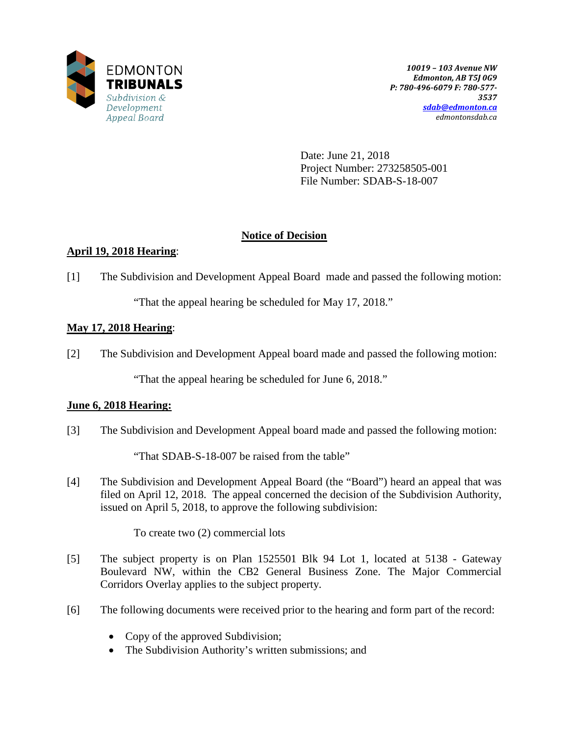

Date: June 21, 2018 Project Number: 273258505-001 File Number: SDAB-S-18-007

## **Notice of Decision**

# **April 19, 2018 Hearing**:

[1] The Subdivision and Development Appeal Board made and passed the following motion:

"That the appeal hearing be scheduled for May 17, 2018."

# **May 17, 2018 Hearing**:

[2] The Subdivision and Development Appeal board made and passed the following motion:

"That the appeal hearing be scheduled for June 6, 2018."

# **June 6, 2018 Hearing:**

[3] The Subdivision and Development Appeal board made and passed the following motion:

"That SDAB-S-18-007 be raised from the table"

[4] The Subdivision and Development Appeal Board (the "Board") heard an appeal that was filed on April 12, 2018. The appeal concerned the decision of the Subdivision Authority, issued on April 5, 2018, to approve the following subdivision:

To create two (2) commercial lots

- [5] The subject property is on Plan 1525501 Blk 94 Lot 1, located at 5138 Gateway Boulevard NW, within the CB2 General Business Zone. The Major Commercial Corridors Overlay applies to the subject property.
- [6] The following documents were received prior to the hearing and form part of the record:
	- Copy of the approved Subdivision;
	- The Subdivision Authority's written submissions; and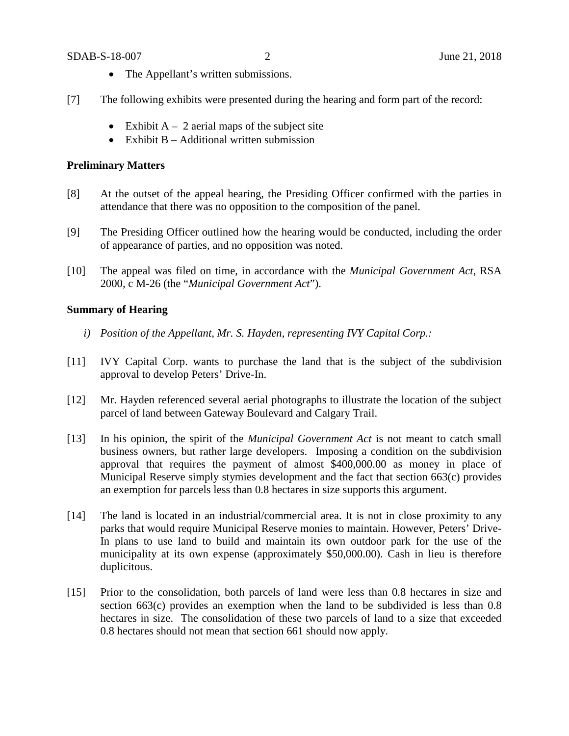#### SDAB-S-18-007 2 June 21, 2018

- The Appellant's written submissions.
- [7] The following exhibits were presented during the hearing and form part of the record:
	- Exhibit  $A 2$  aerial maps of the subject site
	- Exhibit  $B -$  Additional written submission

### **Preliminary Matters**

- [8] At the outset of the appeal hearing, the Presiding Officer confirmed with the parties in attendance that there was no opposition to the composition of the panel.
- [9] The Presiding Officer outlined how the hearing would be conducted, including the order of appearance of parties, and no opposition was noted.
- [10] The appeal was filed on time, in accordance with the *Municipal Government Act*, RSA 2000, c M-26 (the "*Municipal Government Act*").

## **Summary of Hearing**

- *i) Position of the Appellant, Mr. S. Hayden, representing IVY Capital Corp.:*
- [11] IVY Capital Corp. wants to purchase the land that is the subject of the subdivision approval to develop Peters' Drive-In.
- [12] Mr. Hayden referenced several aerial photographs to illustrate the location of the subject parcel of land between Gateway Boulevard and Calgary Trail.
- [13] In his opinion, the spirit of the *Municipal Government Act* is not meant to catch small business owners, but rather large developers. Imposing a condition on the subdivision approval that requires the payment of almost \$400,000.00 as money in place of Municipal Reserve simply stymies development and the fact that section 663(c) provides an exemption for parcels less than 0.8 hectares in size supports this argument.
- [14] The land is located in an industrial/commercial area. It is not in close proximity to any parks that would require Municipal Reserve monies to maintain. However, Peters' Drive-In plans to use land to build and maintain its own outdoor park for the use of the municipality at its own expense (approximately \$50,000.00). Cash in lieu is therefore duplicitous.
- [15] Prior to the consolidation, both parcels of land were less than 0.8 hectares in size and section 663(c) provides an exemption when the land to be subdivided is less than 0.8 hectares in size. The consolidation of these two parcels of land to a size that exceeded 0.8 hectares should not mean that section 661 should now apply.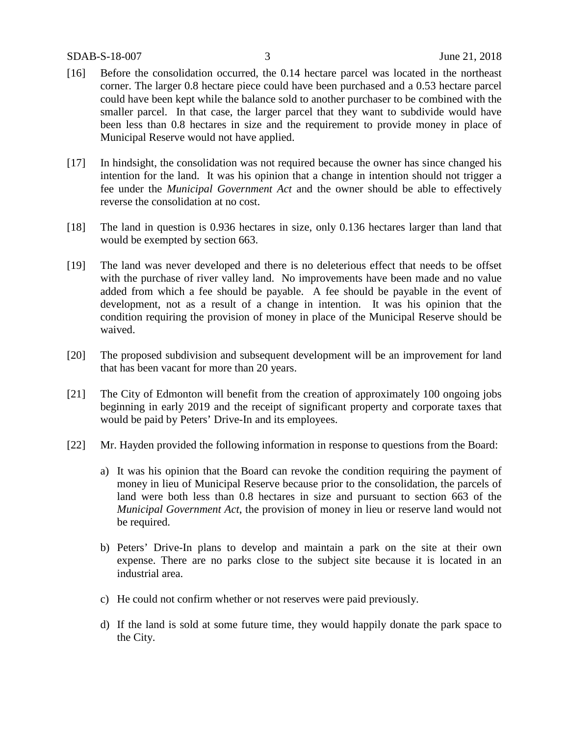#### SDAB-S-18-007 3 June 21, 2018

- [16] Before the consolidation occurred, the 0.14 hectare parcel was located in the northeast corner. The larger 0.8 hectare piece could have been purchased and a 0.53 hectare parcel could have been kept while the balance sold to another purchaser to be combined with the smaller parcel. In that case, the larger parcel that they want to subdivide would have been less than 0.8 hectares in size and the requirement to provide money in place of Municipal Reserve would not have applied.
- [17] In hindsight, the consolidation was not required because the owner has since changed his intention for the land. It was his opinion that a change in intention should not trigger a fee under the *Municipal Government Act* and the owner should be able to effectively reverse the consolidation at no cost.
- [18] The land in question is 0.936 hectares in size, only 0.136 hectares larger than land that would be exempted by section 663.
- [19] The land was never developed and there is no deleterious effect that needs to be offset with the purchase of river valley land. No improvements have been made and no value added from which a fee should be payable. A fee should be payable in the event of development, not as a result of a change in intention. It was his opinion that the condition requiring the provision of money in place of the Municipal Reserve should be waived.
- [20] The proposed subdivision and subsequent development will be an improvement for land that has been vacant for more than 20 years.
- [21] The City of Edmonton will benefit from the creation of approximately 100 ongoing jobs beginning in early 2019 and the receipt of significant property and corporate taxes that would be paid by Peters' Drive-In and its employees.
- [22] Mr. Hayden provided the following information in response to questions from the Board:
	- a) It was his opinion that the Board can revoke the condition requiring the payment of money in lieu of Municipal Reserve because prior to the consolidation, the parcels of land were both less than 0.8 hectares in size and pursuant to section 663 of the *Municipal Government Act*, the provision of money in lieu or reserve land would not be required.
	- b) Peters' Drive-In plans to develop and maintain a park on the site at their own expense. There are no parks close to the subject site because it is located in an industrial area.
	- c) He could not confirm whether or not reserves were paid previously.
	- d) If the land is sold at some future time, they would happily donate the park space to the City.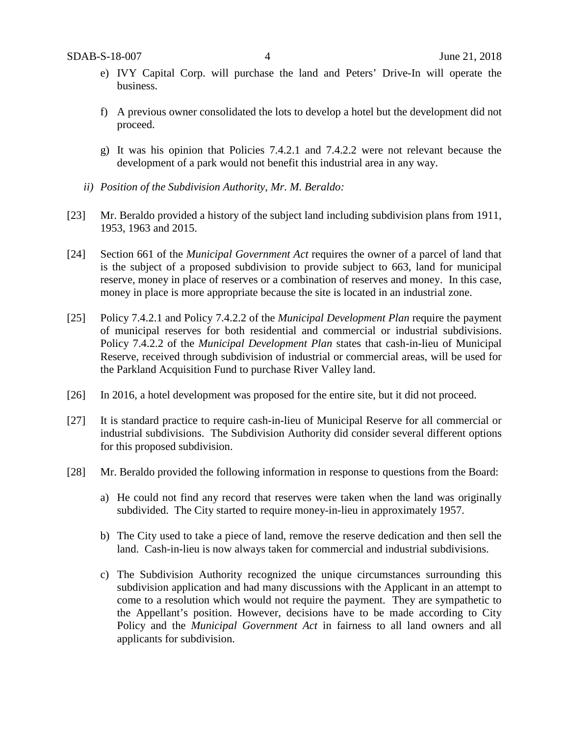- e) IVY Capital Corp. will purchase the land and Peters' Drive-In will operate the business.
- f) A previous owner consolidated the lots to develop a hotel but the development did not proceed.
- g) It was his opinion that Policies 7.4.2.1 and 7.4.2.2 were not relevant because the development of a park would not benefit this industrial area in any way.
- *ii) Position of the Subdivision Authority, Mr. M. Beraldo:*
- [23] Mr. Beraldo provided a history of the subject land including subdivision plans from 1911, 1953, 1963 and 2015.
- [24] Section 661 of the *Municipal Government Act* requires the owner of a parcel of land that is the subject of a proposed subdivision to provide subject to 663, land for municipal reserve, money in place of reserves or a combination of reserves and money. In this case, money in place is more appropriate because the site is located in an industrial zone.
- [25] Policy 7.4.2.1 and Policy 7.4.2.2 of the *Municipal Development Plan* require the payment of municipal reserves for both residential and commercial or industrial subdivisions. Policy 7.4.2.2 of the *Municipal Development Plan* states that cash-in-lieu of Municipal Reserve, received through subdivision of industrial or commercial areas, will be used for the Parkland Acquisition Fund to purchase River Valley land.
- [26] In 2016, a hotel development was proposed for the entire site, but it did not proceed.
- [27] It is standard practice to require cash-in-lieu of Municipal Reserve for all commercial or industrial subdivisions. The Subdivision Authority did consider several different options for this proposed subdivision.
- [28] Mr. Beraldo provided the following information in response to questions from the Board:
	- a) He could not find any record that reserves were taken when the land was originally subdivided. The City started to require money-in-lieu in approximately 1957.
	- b) The City used to take a piece of land, remove the reserve dedication and then sell the land. Cash-in-lieu is now always taken for commercial and industrial subdivisions.
	- c) The Subdivision Authority recognized the unique circumstances surrounding this subdivision application and had many discussions with the Applicant in an attempt to come to a resolution which would not require the payment. They are sympathetic to the Appellant's position. However, decisions have to be made according to City Policy and the *Municipal Government Act* in fairness to all land owners and all applicants for subdivision.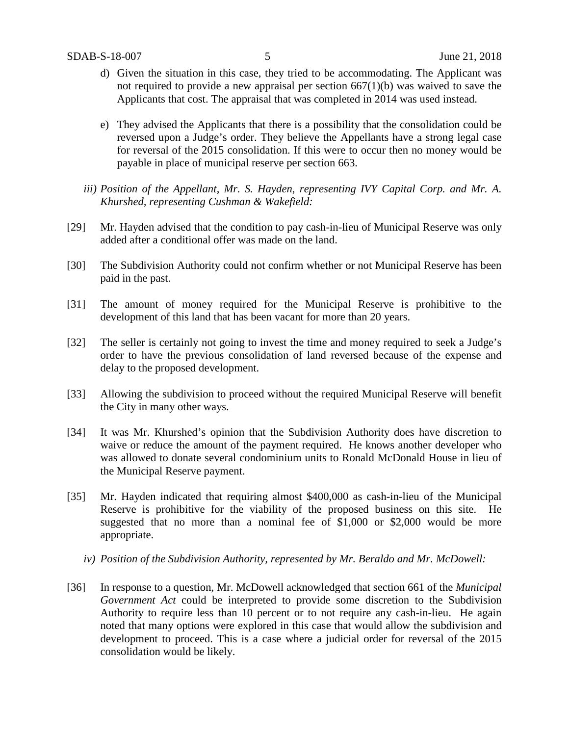- d) Given the situation in this case, they tried to be accommodating. The Applicant was not required to provide a new appraisal per section 667(1)(b) was waived to save the Applicants that cost. The appraisal that was completed in 2014 was used instead.
- e) They advised the Applicants that there is a possibility that the consolidation could be reversed upon a Judge's order. They believe the Appellants have a strong legal case for reversal of the 2015 consolidation. If this were to occur then no money would be payable in place of municipal reserve per section 663.
- iii) Position of the Appellant, Mr. S. Hayden, representing IVY Capital Corp. and Mr. A. *Khurshed, representing Cushman & Wakefield:*
- [29] Mr. Hayden advised that the condition to pay cash-in-lieu of Municipal Reserve was only added after a conditional offer was made on the land.
- [30] The Subdivision Authority could not confirm whether or not Municipal Reserve has been paid in the past.
- [31] The amount of money required for the Municipal Reserve is prohibitive to the development of this land that has been vacant for more than 20 years.
- [32] The seller is certainly not going to invest the time and money required to seek a Judge's order to have the previous consolidation of land reversed because of the expense and delay to the proposed development.
- [33] Allowing the subdivision to proceed without the required Municipal Reserve will benefit the City in many other ways.
- [34] It was Mr. Khurshed's opinion that the Subdivision Authority does have discretion to waive or reduce the amount of the payment required. He knows another developer who was allowed to donate several condominium units to Ronald McDonald House in lieu of the Municipal Reserve payment.
- [35] Mr. Hayden indicated that requiring almost \$400,000 as cash-in-lieu of the Municipal Reserve is prohibitive for the viability of the proposed business on this site. He suggested that no more than a nominal fee of \$1,000 or \$2,000 would be more appropriate.
	- *iv) Position of the Subdivision Authority, represented by Mr. Beraldo and Mr. McDowell:*
- [36] In response to a question, Mr. McDowell acknowledged that section 661 of the *Municipal Government Act* could be interpreted to provide some discretion to the Subdivision Authority to require less than 10 percent or to not require any cash-in-lieu. He again noted that many options were explored in this case that would allow the subdivision and development to proceed. This is a case where a judicial order for reversal of the 2015 consolidation would be likely.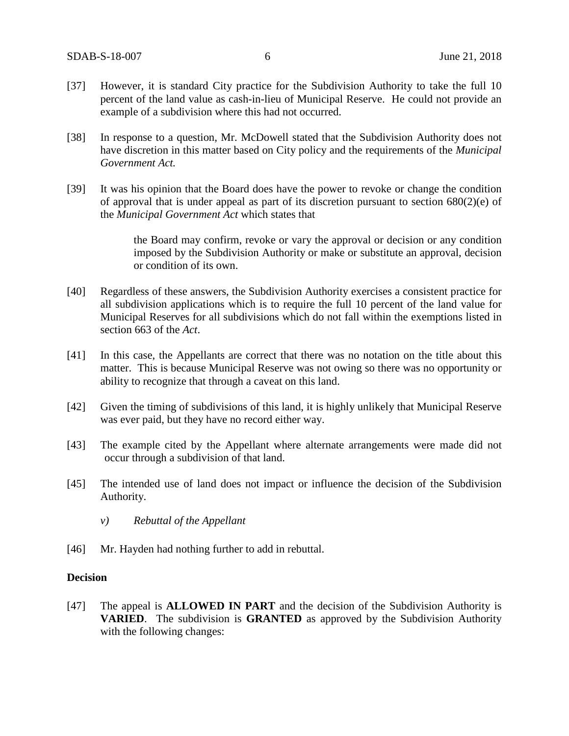- [37] However, it is standard City practice for the Subdivision Authority to take the full 10 percent of the land value as cash-in-lieu of Municipal Reserve. He could not provide an example of a subdivision where this had not occurred.
- [38] In response to a question, Mr. McDowell stated that the Subdivision Authority does not have discretion in this matter based on City policy and the requirements of the *Municipal Government Act.*
- [39] It was his opinion that the Board does have the power to revoke or change the condition of approval that is under appeal as part of its discretion pursuant to section 680(2)(e) of the *Municipal Government Act* which states that

the Board may confirm, revoke or vary the approval or decision or any condition imposed by the Subdivision Authority or make or substitute an approval, decision or condition of its own.

- [40] Regardless of these answers, the Subdivision Authority exercises a consistent practice for all subdivision applications which is to require the full 10 percent of the land value for Municipal Reserves for all subdivisions which do not fall within the exemptions listed in section 663 of the *Act*.
- [41] In this case, the Appellants are correct that there was no notation on the title about this matter. This is because Municipal Reserve was not owing so there was no opportunity or ability to recognize that through a caveat on this land.
- [42] Given the timing of subdivisions of this land, it is highly unlikely that Municipal Reserve was ever paid, but they have no record either way.
- [43] The example cited by the Appellant where alternate arrangements were made did not occur through a subdivision of that land.
- [45] The intended use of land does not impact or influence the decision of the Subdivision Authority.
	- *v) Rebuttal of the Appellant*
- [46] Mr. Hayden had nothing further to add in rebuttal.

#### **Decision**

[47] The appeal is **ALLOWED IN PART** and the decision of the Subdivision Authority is **VARIED**. The subdivision is **GRANTED** as approved by the Subdivision Authority with the following changes: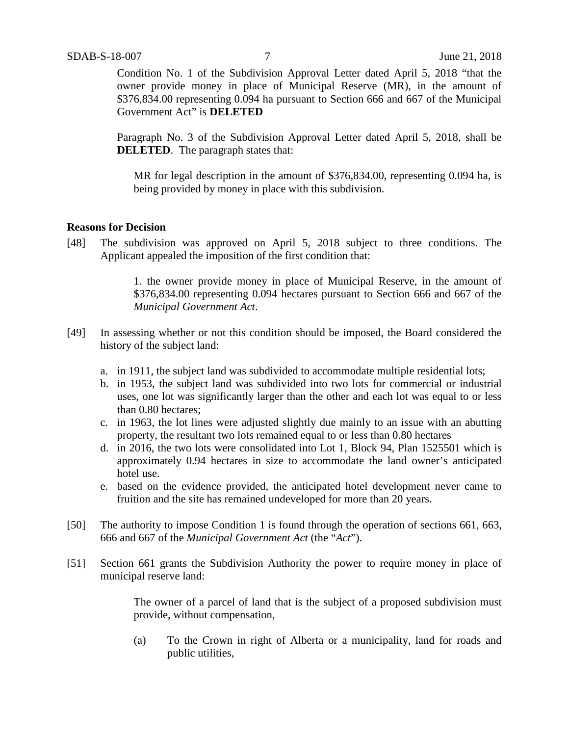Condition No. 1 of the Subdivision Approval Letter dated April 5, 2018 "that the owner provide money in place of Municipal Reserve (MR), in the amount of \$376,834.00 representing 0.094 ha pursuant to Section 666 and 667 of the Municipal Government Act" is **DELETED**

Paragraph No. 3 of the Subdivision Approval Letter dated April 5, 2018, shall be **DELETED**. The paragraph states that:

MR for legal description in the amount of \$376,834.00, representing 0.094 ha, is being provided by money in place with this subdivision.

#### **Reasons for Decision**

[48] The subdivision was approved on April 5, 2018 subject to three conditions. The Applicant appealed the imposition of the first condition that:

> 1. the owner provide money in place of Municipal Reserve, in the amount of \$376,834.00 representing 0.094 hectares pursuant to Section 666 and 667 of the *Municipal Government Act*.

- [49] In assessing whether or not this condition should be imposed, the Board considered the history of the subject land:
	- a. in 1911, the subject land was subdivided to accommodate multiple residential lots;
	- b. in 1953, the subject land was subdivided into two lots for commercial or industrial uses, one lot was significantly larger than the other and each lot was equal to or less than 0.80 hectares;
	- c. in 1963, the lot lines were adjusted slightly due mainly to an issue with an abutting property, the resultant two lots remained equal to or less than 0.80 hectares
	- d. in 2016, the two lots were consolidated into Lot 1, Block 94, Plan 1525501 which is approximately 0.94 hectares in size to accommodate the land owner's anticipated hotel use.
	- e. based on the evidence provided, the anticipated hotel development never came to fruition and the site has remained undeveloped for more than 20 years.
- [50] The authority to impose Condition 1 is found through the operation of sections 661, 663, 666 and 667 of the *Municipal Government Act* (the "*Act*").
- [51] Section 661 grants the Subdivision Authority the power to require money in place of municipal reserve land:

The owner of a parcel of land that is the subject of a proposed subdivision must provide, without compensation,

(a) To the Crown in right of Alberta or a municipality, land for roads and public utilities,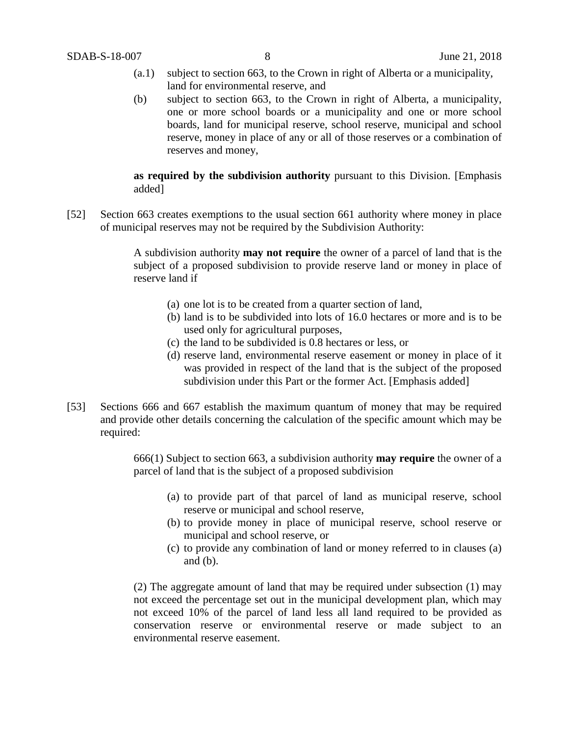- (a.1) subject to section 663, to the Crown in right of Alberta or a municipality, land for environmental reserve, and
- (b) subject to section 663, to the Crown in right of Alberta, a municipality, one or more school boards or a municipality and one or more school boards, land for municipal reserve, school reserve, municipal and school reserve, money in place of any or all of those reserves or a combination of reserves and money,

#### **as required by the subdivision authority** pursuant to this Division. [Emphasis added]

[52] Section 663 creates exemptions to the usual section 661 authority where money in place of municipal reserves may not be required by the Subdivision Authority:

> A subdivision authority **may not require** the owner of a parcel of land that is the subject of a proposed subdivision to provide reserve land or money in place of reserve land if

- (a) one lot is to be created from a quarter section of land,
- (b) land is to be subdivided into lots of 16.0 hectares or more and is to be used only for agricultural purposes,
- (c) the land to be subdivided is 0.8 hectares or less, or
- (d) reserve land, environmental reserve easement or money in place of it was provided in respect of the land that is the subject of the proposed subdivision under this Part or the former Act. [Emphasis added]
- [53] Sections 666 and 667 establish the maximum quantum of money that may be required and provide other details concerning the calculation of the specific amount which may be required:

666(1) Subject to section 663, a subdivision authority **may require** the owner of a parcel of land that is the subject of a proposed subdivision

- (a) to provide part of that parcel of land as municipal reserve, school reserve or municipal and school reserve,
- (b) to provide money in place of municipal reserve, school reserve or municipal and school reserve, or
- (c) to provide any combination of land or money referred to in clauses (a) and (b).

(2) The aggregate amount of land that may be required under subsection (1) may not exceed the percentage set out in the municipal development plan, which may not exceed 10% of the parcel of land less all land required to be provided as conservation reserve or environmental reserve or made subject to an environmental reserve easement.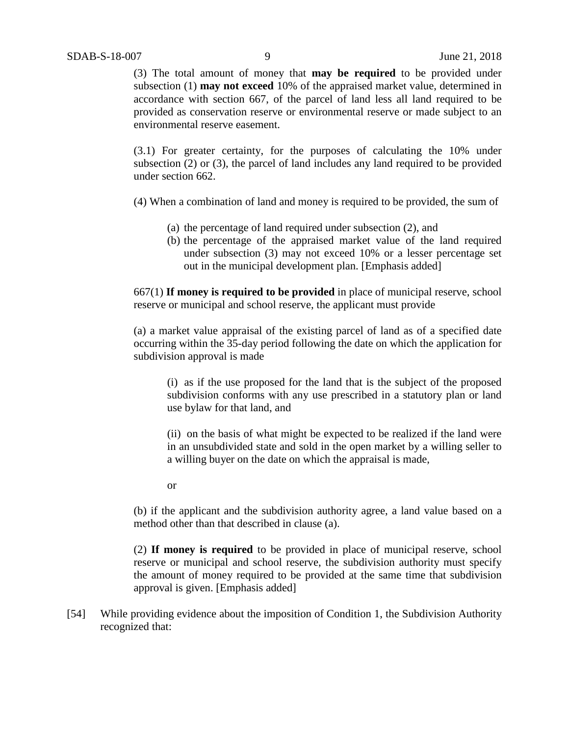(3) The total amount of money that **may be required** to be provided under subsection (1) **may not exceed** 10% of the appraised market value, determined in accordance with section 667, of the parcel of land less all land required to be provided as conservation reserve or environmental reserve or made subject to an environmental reserve easement.

(3.1) For greater certainty, for the purposes of calculating the 10% under subsection (2) or (3), the parcel of land includes any land required to be provided under section 662.

(4) When a combination of land and money is required to be provided, the sum of

- (a) the percentage of land required under subsection (2), and
- (b) the percentage of the appraised market value of the land required under subsection (3) may not exceed 10% or a lesser percentage set out in the municipal development plan. [Emphasis added]

667(1) **If money is required to be provided** in place of municipal reserve, school reserve or municipal and school reserve, the applicant must provide

(a) a market value appraisal of the existing parcel of land as of a specified date occurring within the 35-day period following the date on which the application for subdivision approval is made

(i) as if the use proposed for the land that is the subject of the proposed subdivision conforms with any use prescribed in a statutory plan or land use bylaw for that land, and

(ii) on the basis of what might be expected to be realized if the land were in an unsubdivided state and sold in the open market by a willing seller to a willing buyer on the date on which the appraisal is made,

or

(b) if the applicant and the subdivision authority agree, a land value based on a method other than that described in clause (a).

(2) **If money is required** to be provided in place of municipal reserve, school reserve or municipal and school reserve, the subdivision authority must specify the amount of money required to be provided at the same time that subdivision approval is given. [Emphasis added]

[54] While providing evidence about the imposition of Condition 1, the Subdivision Authority recognized that: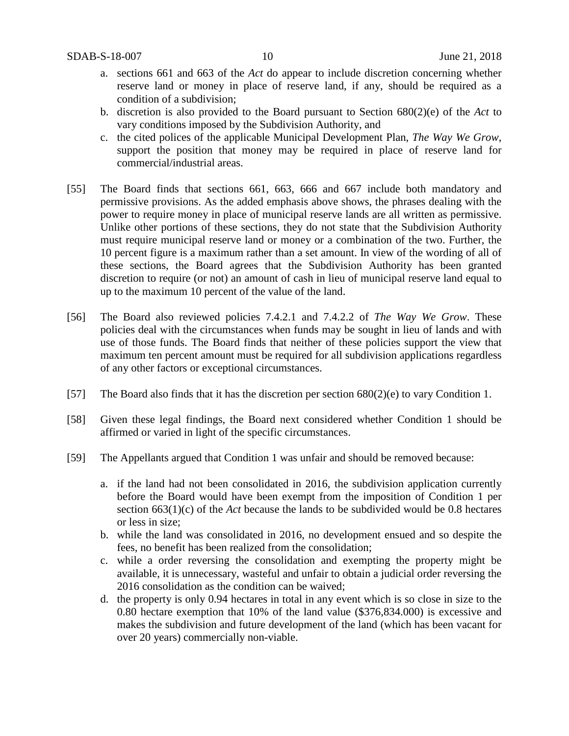- a. sections 661 and 663 of the *Act* do appear to include discretion concerning whether reserve land or money in place of reserve land, if any, should be required as a condition of a subdivision;
- b. discretion is also provided to the Board pursuant to Section 680(2)(e) of the *Act* to vary conditions imposed by the Subdivision Authority, and
- c. the cited polices of the applicable Municipal Development Plan, *The Way We Grow*, support the position that money may be required in place of reserve land for commercial/industrial areas.
- [55] The Board finds that sections 661, 663, 666 and 667 include both mandatory and permissive provisions. As the added emphasis above shows, the phrases dealing with the power to require money in place of municipal reserve lands are all written as permissive. Unlike other portions of these sections, they do not state that the Subdivision Authority must require municipal reserve land or money or a combination of the two. Further, the 10 percent figure is a maximum rather than a set amount. In view of the wording of all of these sections, the Board agrees that the Subdivision Authority has been granted discretion to require (or not) an amount of cash in lieu of municipal reserve land equal to up to the maximum 10 percent of the value of the land.
- [56] The Board also reviewed policies 7.4.2.1 and 7.4.2.2 of *The Way We Grow*. These policies deal with the circumstances when funds may be sought in lieu of lands and with use of those funds. The Board finds that neither of these policies support the view that maximum ten percent amount must be required for all subdivision applications regardless of any other factors or exceptional circumstances.
- [57] The Board also finds that it has the discretion per section 680(2)(e) to vary Condition 1.
- [58] Given these legal findings, the Board next considered whether Condition 1 should be affirmed or varied in light of the specific circumstances.
- [59] The Appellants argued that Condition 1 was unfair and should be removed because:
	- a. if the land had not been consolidated in 2016, the subdivision application currently before the Board would have been exempt from the imposition of Condition 1 per section 663(1)(c) of the *Act* because the lands to be subdivided would be 0.8 hectares or less in size;
	- b. while the land was consolidated in 2016, no development ensued and so despite the fees, no benefit has been realized from the consolidation;
	- c. while a order reversing the consolidation and exempting the property might be available, it is unnecessary, wasteful and unfair to obtain a judicial order reversing the 2016 consolidation as the condition can be waived;
	- d. the property is only 0.94 hectares in total in any event which is so close in size to the 0.80 hectare exemption that 10% of the land value (\$376,834.000) is excessive and makes the subdivision and future development of the land (which has been vacant for over 20 years) commercially non-viable.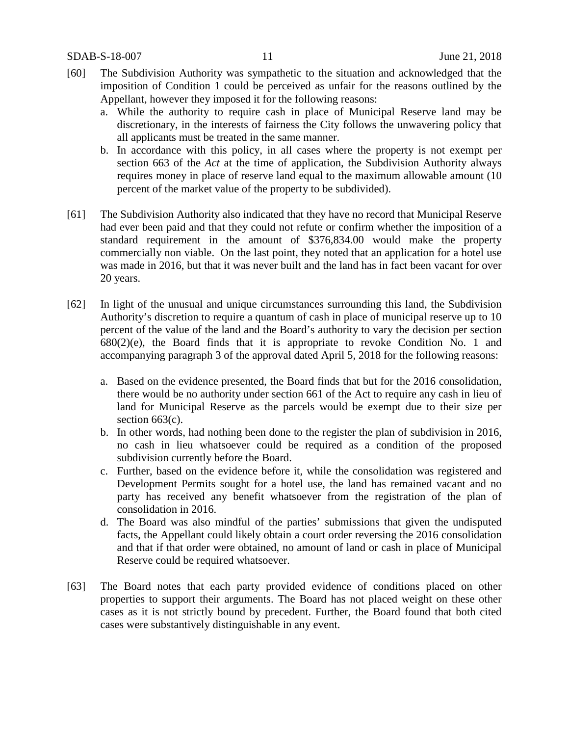- [60] The Subdivision Authority was sympathetic to the situation and acknowledged that the imposition of Condition 1 could be perceived as unfair for the reasons outlined by the Appellant, however they imposed it for the following reasons:
	- a. While the authority to require cash in place of Municipal Reserve land may be discretionary, in the interests of fairness the City follows the unwavering policy that all applicants must be treated in the same manner.
	- b. In accordance with this policy, in all cases where the property is not exempt per section 663 of the *Act* at the time of application, the Subdivision Authority always requires money in place of reserve land equal to the maximum allowable amount (10 percent of the market value of the property to be subdivided).
- [61] The Subdivision Authority also indicated that they have no record that Municipal Reserve had ever been paid and that they could not refute or confirm whether the imposition of a standard requirement in the amount of \$376,834.00 would make the property commercially non viable. On the last point, they noted that an application for a hotel use was made in 2016, but that it was never built and the land has in fact been vacant for over 20 years.
- [62] In light of the unusual and unique circumstances surrounding this land, the Subdivision Authority's discretion to require a quantum of cash in place of municipal reserve up to 10 percent of the value of the land and the Board's authority to vary the decision per section  $680(2)$ (e), the Board finds that it is appropriate to revoke Condition No. 1 and accompanying paragraph 3 of the approval dated April 5, 2018 for the following reasons:
	- a. Based on the evidence presented, the Board finds that but for the 2016 consolidation, there would be no authority under section 661 of the Act to require any cash in lieu of land for Municipal Reserve as the parcels would be exempt due to their size per section 663(c).
	- b. In other words, had nothing been done to the register the plan of subdivision in 2016, no cash in lieu whatsoever could be required as a condition of the proposed subdivision currently before the Board.
	- c. Further, based on the evidence before it, while the consolidation was registered and Development Permits sought for a hotel use, the land has remained vacant and no party has received any benefit whatsoever from the registration of the plan of consolidation in 2016.
	- d. The Board was also mindful of the parties' submissions that given the undisputed facts, the Appellant could likely obtain a court order reversing the 2016 consolidation and that if that order were obtained, no amount of land or cash in place of Municipal Reserve could be required whatsoever.
- [63] The Board notes that each party provided evidence of conditions placed on other properties to support their arguments. The Board has not placed weight on these other cases as it is not strictly bound by precedent. Further, the Board found that both cited cases were substantively distinguishable in any event.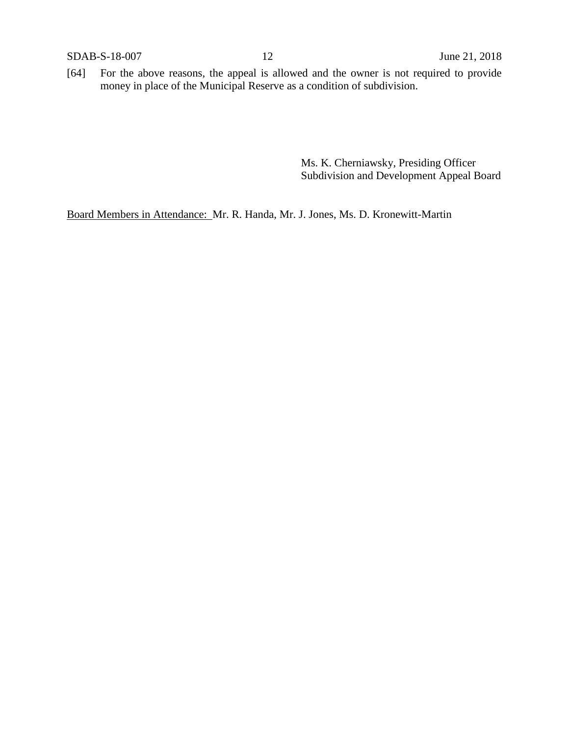[64] For the above reasons, the appeal is allowed and the owner is not required to provide money in place of the Municipal Reserve as a condition of subdivision.

> Ms. K. Cherniawsky, Presiding Officer Subdivision and Development Appeal Board

Board Members in Attendance: Mr. R. Handa, Mr. J. Jones, Ms. D. Kronewitt-Martin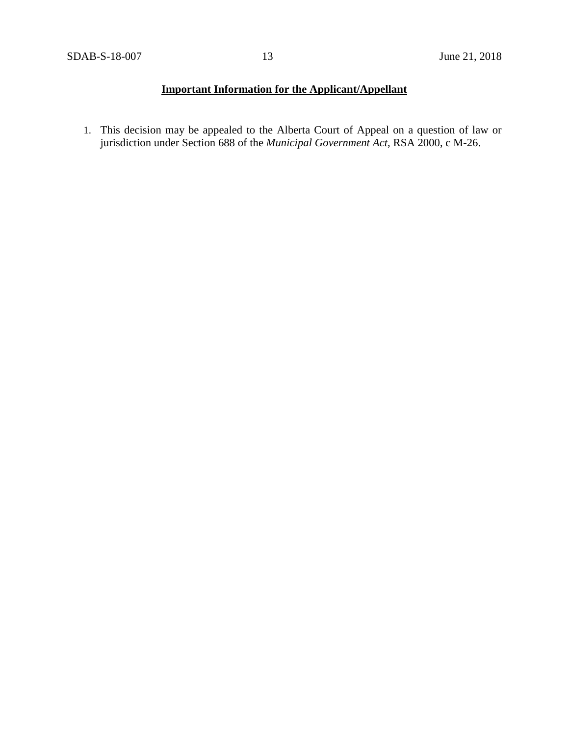# **Important Information for the Applicant/Appellant**

1. This decision may be appealed to the Alberta Court of Appeal on a question of law or jurisdiction under Section 688 of the *Municipal Government Act*, RSA 2000, c M-26.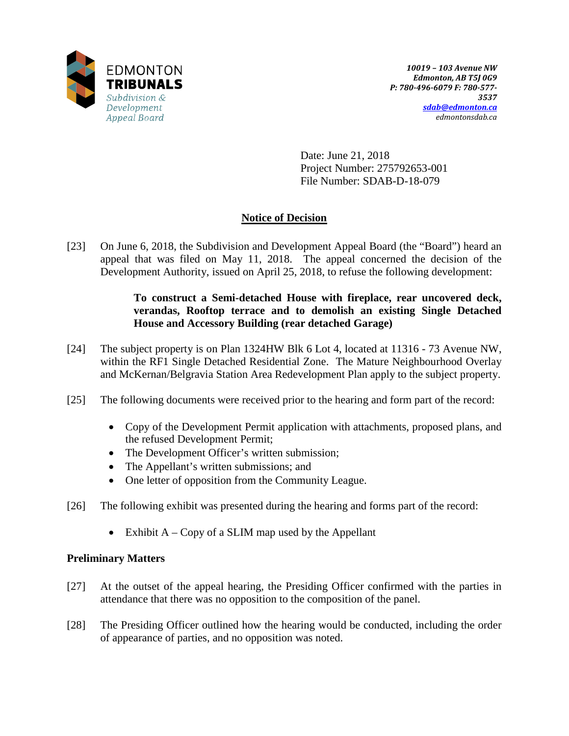

Date: June 21, 2018 Project Number: 275792653-001 File Number: SDAB-D-18-079

# **Notice of Decision**

[23] On June 6, 2018, the Subdivision and Development Appeal Board (the "Board") heard an appeal that was filed on May 11, 2018. The appeal concerned the decision of the Development Authority, issued on April 25, 2018, to refuse the following development:

## **To construct a Semi-detached House with fireplace, rear uncovered deck, verandas, Rooftop terrace and to demolish an existing Single Detached House and Accessory Building (rear detached Garage)**

- [24] The subject property is on Plan 1324HW Blk 6 Lot 4, located at 11316 73 Avenue NW, within the RF1 Single Detached Residential Zone. The Mature Neighbourhood Overlay and McKernan/Belgravia Station Area Redevelopment Plan apply to the subject property.
- [25] The following documents were received prior to the hearing and form part of the record:
	- Copy of the Development Permit application with attachments, proposed plans, and the refused Development Permit;
	- The Development Officer's written submission;
	- The Appellant's written submissions; and
	- One letter of opposition from the Community League.
- [26] The following exhibit was presented during the hearing and forms part of the record:
	- Exhibit  $A Copy$  of a SLIM map used by the Appellant

## **Preliminary Matters**

- [27] At the outset of the appeal hearing, the Presiding Officer confirmed with the parties in attendance that there was no opposition to the composition of the panel.
- [28] The Presiding Officer outlined how the hearing would be conducted, including the order of appearance of parties, and no opposition was noted.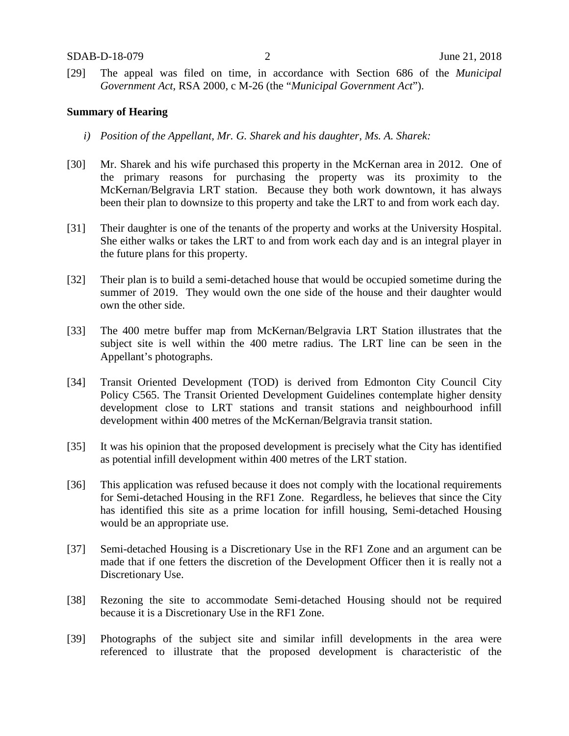[29] The appeal was filed on time, in accordance with Section 686 of the *Municipal Government Act*, RSA 2000, c M-26 (the "*Municipal Government Act*").

#### **Summary of Hearing**

- *i) Position of the Appellant, Mr. G. Sharek and his daughter, Ms. A. Sharek:*
- [30] Mr. Sharek and his wife purchased this property in the McKernan area in 2012. One of the primary reasons for purchasing the property was its proximity to the McKernan/Belgravia LRT station. Because they both work downtown, it has always been their plan to downsize to this property and take the LRT to and from work each day.
- [31] Their daughter is one of the tenants of the property and works at the University Hospital. She either walks or takes the LRT to and from work each day and is an integral player in the future plans for this property.
- [32] Their plan is to build a semi-detached house that would be occupied sometime during the summer of 2019. They would own the one side of the house and their daughter would own the other side.
- [33] The 400 metre buffer map from McKernan/Belgravia LRT Station illustrates that the subject site is well within the 400 metre radius. The LRT line can be seen in the Appellant's photographs.
- [34] Transit Oriented Development (TOD) is derived from Edmonton City Council City Policy C565. The Transit Oriented Development Guidelines contemplate higher density development close to LRT stations and transit stations and neighbourhood infill development within 400 metres of the McKernan/Belgravia transit station.
- [35] It was his opinion that the proposed development is precisely what the City has identified as potential infill development within 400 metres of the LRT station.
- [36] This application was refused because it does not comply with the locational requirements for Semi-detached Housing in the RF1 Zone. Regardless, he believes that since the City has identified this site as a prime location for infill housing, Semi-detached Housing would be an appropriate use.
- [37] Semi-detached Housing is a Discretionary Use in the RF1 Zone and an argument can be made that if one fetters the discretion of the Development Officer then it is really not a Discretionary Use.
- [38] Rezoning the site to accommodate Semi-detached Housing should not be required because it is a Discretionary Use in the RF1 Zone.
- [39] Photographs of the subject site and similar infill developments in the area were referenced to illustrate that the proposed development is characteristic of the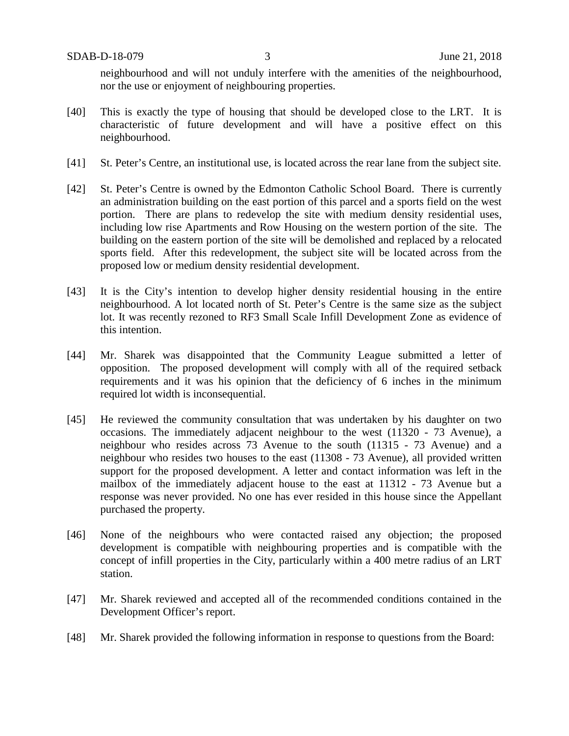neighbourhood and will not unduly interfere with the amenities of the neighbourhood, nor the use or enjoyment of neighbouring properties.

- [40] This is exactly the type of housing that should be developed close to the LRT. It is characteristic of future development and will have a positive effect on this neighbourhood.
- [41] St. Peter's Centre, an institutional use, is located across the rear lane from the subject site.
- [42] St. Peter's Centre is owned by the Edmonton Catholic School Board. There is currently an administration building on the east portion of this parcel and a sports field on the west portion. There are plans to redevelop the site with medium density residential uses, including low rise Apartments and Row Housing on the western portion of the site. The building on the eastern portion of the site will be demolished and replaced by a relocated sports field. After this redevelopment, the subject site will be located across from the proposed low or medium density residential development.
- [43] It is the City's intention to develop higher density residential housing in the entire neighbourhood. A lot located north of St. Peter's Centre is the same size as the subject lot. It was recently rezoned to RF3 Small Scale Infill Development Zone as evidence of this intention.
- [44] Mr. Sharek was disappointed that the Community League submitted a letter of opposition. The proposed development will comply with all of the required setback requirements and it was his opinion that the deficiency of 6 inches in the minimum required lot width is inconsequential.
- [45] He reviewed the community consultation that was undertaken by his daughter on two occasions. The immediately adjacent neighbour to the west (11320 - 73 Avenue), a neighbour who resides across 73 Avenue to the south (11315 - 73 Avenue) and a neighbour who resides two houses to the east (11308 - 73 Avenue), all provided written support for the proposed development. A letter and contact information was left in the mailbox of the immediately adjacent house to the east at 11312 - 73 Avenue but a response was never provided. No one has ever resided in this house since the Appellant purchased the property.
- [46] None of the neighbours who were contacted raised any objection; the proposed development is compatible with neighbouring properties and is compatible with the concept of infill properties in the City, particularly within a 400 metre radius of an LRT station.
- [47] Mr. Sharek reviewed and accepted all of the recommended conditions contained in the Development Officer's report.
- [48] Mr. Sharek provided the following information in response to questions from the Board: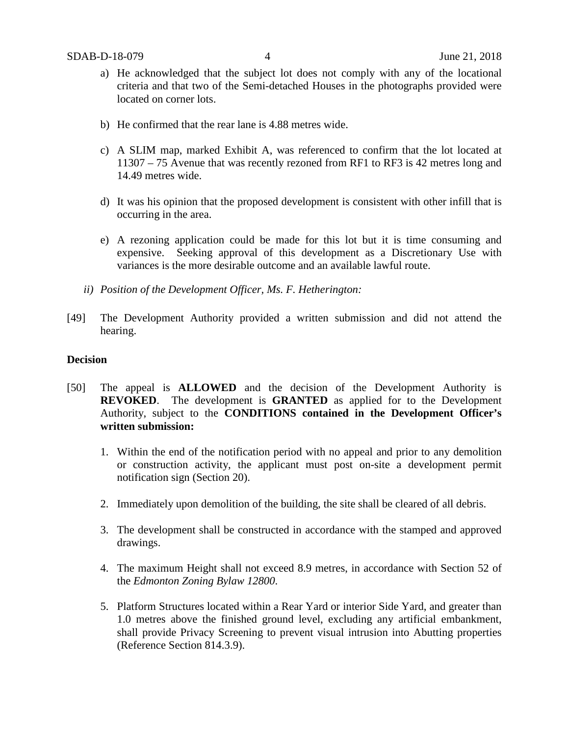- a) He acknowledged that the subject lot does not comply with any of the locational criteria and that two of the Semi-detached Houses in the photographs provided were located on corner lots.
- b) He confirmed that the rear lane is 4.88 metres wide.
- c) A SLIM map, marked Exhibit A, was referenced to confirm that the lot located at 11307 – 75 Avenue that was recently rezoned from RF1 to RF3 is 42 metres long and 14.49 metres wide.
- d) It was his opinion that the proposed development is consistent with other infill that is occurring in the area.
- e) A rezoning application could be made for this lot but it is time consuming and expensive. Seeking approval of this development as a Discretionary Use with variances is the more desirable outcome and an available lawful route.
- *ii) Position of the Development Officer, Ms. F. Hetherington:*
- [49] The Development Authority provided a written submission and did not attend the hearing.

#### **Decision**

- [50] The appeal is **ALLOWED** and the decision of the Development Authority is **REVOKED**. The development is **GRANTED** as applied for to the Development Authority, subject to the **CONDITIONS contained in the Development Officer's written submission:**
	- 1. Within the end of the notification period with no appeal and prior to any demolition or construction activity, the applicant must post on-site a development permit notification sign (Section 20).
	- 2. Immediately upon demolition of the building, the site shall be cleared of all debris.
	- 3. The development shall be constructed in accordance with the stamped and approved drawings.
	- 4. The maximum Height shall not exceed 8.9 metres, in accordance with Section 52 of the *Edmonton Zoning Bylaw 12800*.
	- 5. Platform Structures located within a Rear Yard or interior Side Yard, and greater than 1.0 metres above the finished ground level, excluding any artificial embankment, shall provide Privacy Screening to prevent visual intrusion into Abutting properties (Reference Section 814.3.9).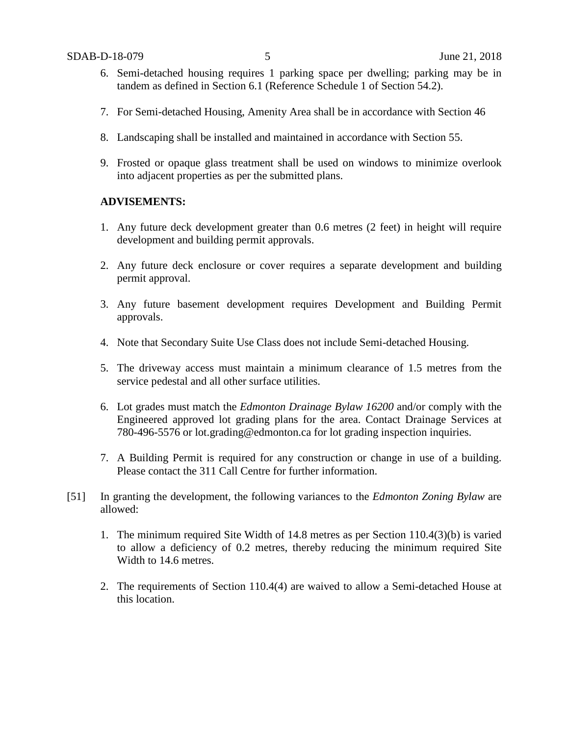- 6. Semi-detached housing requires 1 parking space per dwelling; parking may be in tandem as defined in Section 6.1 (Reference Schedule 1 of Section 54.2).
- 7. For Semi-detached Housing, Amenity Area shall be in accordance with Section 46
- 8. Landscaping shall be installed and maintained in accordance with Section 55.
- 9. Frosted or opaque glass treatment shall be used on windows to minimize overlook into adjacent properties as per the submitted plans.

#### **ADVISEMENTS:**

- 1. Any future deck development greater than 0.6 metres (2 feet) in height will require development and building permit approvals.
- 2. Any future deck enclosure or cover requires a separate development and building permit approval.
- 3. Any future basement development requires Development and Building Permit approvals.
- 4. Note that Secondary Suite Use Class does not include Semi-detached Housing.
- 5. The driveway access must maintain a minimum clearance of 1.5 metres from the service pedestal and all other surface utilities.
- 6. Lot grades must match the *Edmonton Drainage Bylaw 16200* and/or comply with the Engineered approved lot grading plans for the area. Contact Drainage Services at 780-496-5576 or lot.grading@edmonton.ca for lot grading inspection inquiries.
- 7. A Building Permit is required for any construction or change in use of a building. Please contact the 311 Call Centre for further information.
- [51] In granting the development, the following variances to the *Edmonton Zoning Bylaw* are allowed:
	- 1. The minimum required Site Width of 14.8 metres as per Section 110.4(3)(b) is varied to allow a deficiency of 0.2 metres, thereby reducing the minimum required Site Width to 14.6 metres.
	- 2. The requirements of Section 110.4(4) are waived to allow a Semi-detached House at this location.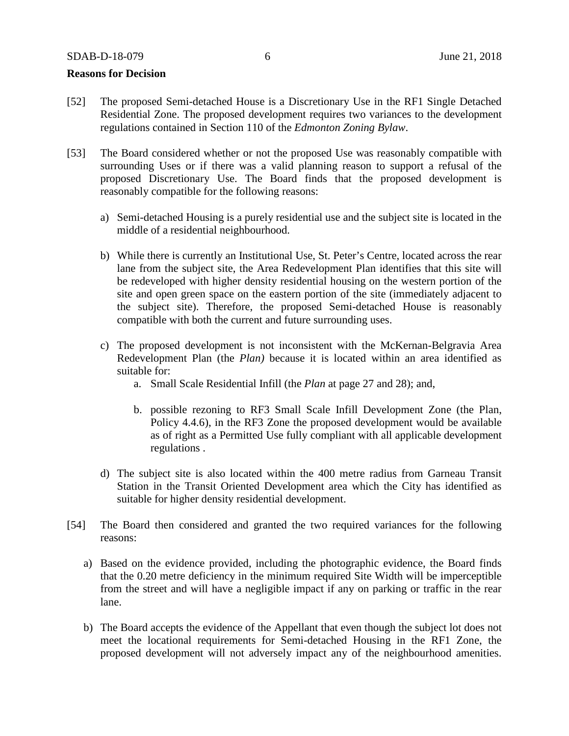#### **Reasons for Decision**

- [52] The proposed Semi-detached House is a Discretionary Use in the RF1 Single Detached Residential Zone. The proposed development requires two variances to the development regulations contained in Section 110 of the *Edmonton Zoning Bylaw*.
- [53] The Board considered whether or not the proposed Use was reasonably compatible with surrounding Uses or if there was a valid planning reason to support a refusal of the proposed Discretionary Use. The Board finds that the proposed development is reasonably compatible for the following reasons:
	- a) Semi-detached Housing is a purely residential use and the subject site is located in the middle of a residential neighbourhood.
	- b) While there is currently an Institutional Use, St. Peter's Centre, located across the rear lane from the subject site, the Area Redevelopment Plan identifies that this site will be redeveloped with higher density residential housing on the western portion of the site and open green space on the eastern portion of the site (immediately adjacent to the subject site). Therefore, the proposed Semi-detached House is reasonably compatible with both the current and future surrounding uses.
	- c) The proposed development is not inconsistent with the McKernan-Belgravia Area Redevelopment Plan (the *Plan)* because it is located within an area identified as suitable for:
		- a. Small Scale Residential Infill (the *Plan* at page 27 and 28); and,
		- b. possible rezoning to RF3 Small Scale Infill Development Zone (the Plan, Policy 4.4.6), in the RF3 Zone the proposed development would be available as of right as a Permitted Use fully compliant with all applicable development regulations .
	- d) The subject site is also located within the 400 metre radius from Garneau Transit Station in the Transit Oriented Development area which the City has identified as suitable for higher density residential development.
- [54] The Board then considered and granted the two required variances for the following reasons:
	- a) Based on the evidence provided, including the photographic evidence, the Board finds that the 0.20 metre deficiency in the minimum required Site Width will be imperceptible from the street and will have a negligible impact if any on parking or traffic in the rear lane.
	- b) The Board accepts the evidence of the Appellant that even though the subject lot does not meet the locational requirements for Semi-detached Housing in the RF1 Zone, the proposed development will not adversely impact any of the neighbourhood amenities.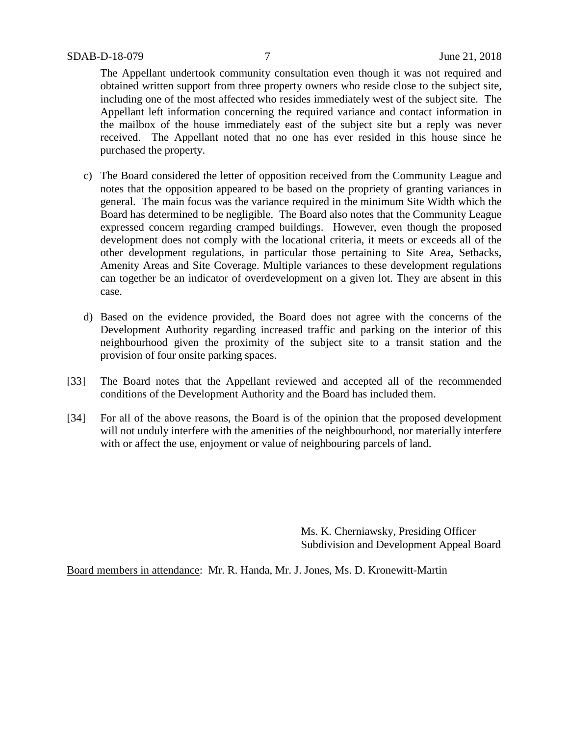The Appellant undertook community consultation even though it was not required and obtained written support from three property owners who reside close to the subject site, including one of the most affected who resides immediately west of the subject site. The Appellant left information concerning the required variance and contact information in the mailbox of the house immediately east of the subject site but a reply was never received. The Appellant noted that no one has ever resided in this house since he purchased the property.

- c) The Board considered the letter of opposition received from the Community League and notes that the opposition appeared to be based on the propriety of granting variances in general. The main focus was the variance required in the minimum Site Width which the Board has determined to be negligible. The Board also notes that the Community League expressed concern regarding cramped buildings. However, even though the proposed development does not comply with the locational criteria, it meets or exceeds all of the other development regulations, in particular those pertaining to Site Area, Setbacks, Amenity Areas and Site Coverage. Multiple variances to these development regulations can together be an indicator of overdevelopment on a given lot. They are absent in this case.
- d) Based on the evidence provided, the Board does not agree with the concerns of the Development Authority regarding increased traffic and parking on the interior of this neighbourhood given the proximity of the subject site to a transit station and the provision of four onsite parking spaces.
- [33] The Board notes that the Appellant reviewed and accepted all of the recommended conditions of the Development Authority and the Board has included them.
- [34] For all of the above reasons, the Board is of the opinion that the proposed development will not unduly interfere with the amenities of the neighbourhood, nor materially interfere with or affect the use, enjoyment or value of neighbouring parcels of land.

Ms. K. Cherniawsky, Presiding Officer Subdivision and Development Appeal Board

Board members in attendance: Mr. R. Handa, Mr. J. Jones, Ms. D. Kronewitt-Martin